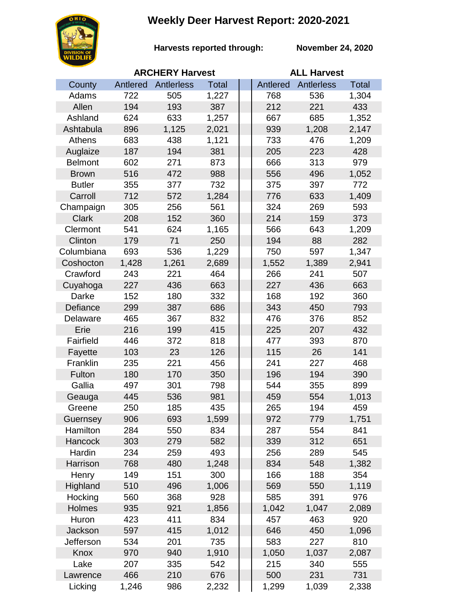## **Weekly Deer Harvest Report: 2020-2021**



**Harvests reported through:** 

**November 24, 2020**

|                | <b>ARCHERY Harvest</b> |            |              |  | <b>ALL Harvest</b> |                   |              |  |
|----------------|------------------------|------------|--------------|--|--------------------|-------------------|--------------|--|
| County         | Antlered               | Antlerless | <b>Total</b> |  | Antlered           | <b>Antlerless</b> | <b>Total</b> |  |
| Adams          | 722                    | 505        | 1,227        |  | 768                | 536               | 1,304        |  |
| Allen          | 194                    | 193        | 387          |  | 212                | 221               | 433          |  |
| Ashland        | 624                    | 633        | 1,257        |  | 667                | 685               | 1,352        |  |
| Ashtabula      | 896                    | 1,125      | 2,021        |  | 939                | 1,208             | 2,147        |  |
| Athens         | 683                    | 438        | 1,121        |  | 733                | 476               | 1,209        |  |
| Auglaize       | 187                    | 194        | 381          |  | 205                | 223               | 428          |  |
| <b>Belmont</b> | 602                    | 271        | 873          |  | 666                | 313               | 979          |  |
| <b>Brown</b>   | 516                    | 472        | 988          |  | 556                | 496               | 1,052        |  |
| <b>Butler</b>  | 355                    | 377        | 732          |  | 375                | 397               | 772          |  |
| Carroll        | 712                    | 572        | 1,284        |  | 776                | 633               | 1,409        |  |
| Champaign      | 305                    | 256        | 561          |  | 324                | 269               | 593          |  |
| <b>Clark</b>   | 208                    | 152        | 360          |  | 214                | 159               | 373          |  |
| Clermont       | 541                    | 624        | 1,165        |  | 566                | 643               | 1,209        |  |
| Clinton        | 179                    | 71         | 250          |  | 194                | 88                | 282          |  |
| Columbiana     | 693                    | 536        | 1,229        |  | 750                | 597               | 1,347        |  |
| Coshocton      | 1,428                  | 1,261      | 2,689        |  | 1,552              | 1,389             | 2,941        |  |
| Crawford       | 243                    | 221        | 464          |  | 266                | 241               | 507          |  |
| Cuyahoga       | 227                    | 436        | 663          |  | 227                | 436               | 663          |  |
| Darke          | 152                    | 180        | 332          |  | 168                | 192               | 360          |  |
| Defiance       | 299                    | 387        | 686          |  | 343                | 450               | 793          |  |
| Delaware       | 465                    | 367        | 832          |  | 476                | 376               | 852          |  |
| Erie           | 216                    | 199        | 415          |  | 225                | 207               | 432          |  |
| Fairfield      | 446                    | 372        | 818          |  | 477                | 393               | 870          |  |
| Fayette        | 103                    | 23         | 126          |  | 115                | 26                | 141          |  |
| Franklin       | 235                    | 221        | 456          |  | 241                | 227               | 468          |  |
| Fulton         | 180                    | 170        | 350          |  | 196                | 194               | 390          |  |
| Gallia         | 497                    | 301        | 798          |  | 544                | 355               | 899          |  |
| Geauga         | 445                    | 536        | 981          |  | 459                | 554               | 1,013        |  |
| Greene         | 250                    | 185        | 435          |  | 265                | 194               | 459          |  |
| Guernsey       | 906                    | 693        | 1,599        |  | 972                | 779               | 1,751        |  |
| Hamilton       | 284                    | 550        | 834          |  | 287                | 554               | 841          |  |
| Hancock        | 303                    | 279        | 582          |  | 339                | 312               | 651          |  |
| Hardin         | 234                    | 259        | 493          |  | 256                | 289               | 545          |  |
| Harrison       | 768                    | 480        | 1,248        |  | 834                | 548               | 1,382        |  |
| Henry          | 149                    | 151        | 300          |  | 166                | 188               | 354          |  |
| Highland       | 510                    | 496        | 1,006        |  | 569                | 550               | 1,119        |  |
| Hocking        | 560                    | 368        | 928          |  | 585                | 391               | 976          |  |
| Holmes         | 935                    | 921        | 1,856        |  | 1,042              | 1,047             | 2,089        |  |
| Huron          | 423                    | 411        | 834          |  | 457                | 463               | 920          |  |
| Jackson        | 597                    | 415        | 1,012        |  | 646                | 450               | 1,096        |  |
| Jefferson      | 534                    | 201        | 735          |  | 583                | 227               | 810          |  |
| Knox           | 970                    | 940        | 1,910        |  | 1,050              | 1,037             | 2,087        |  |
| Lake           | 207                    | 335        | 542          |  | 215                | 340               | 555          |  |
| Lawrence       | 466                    | 210        | 676          |  | 500                | 231               | 731          |  |
| Licking        | 1,246                  | 986        | 2,232        |  | 1,299              | 1,039             | 2,338        |  |